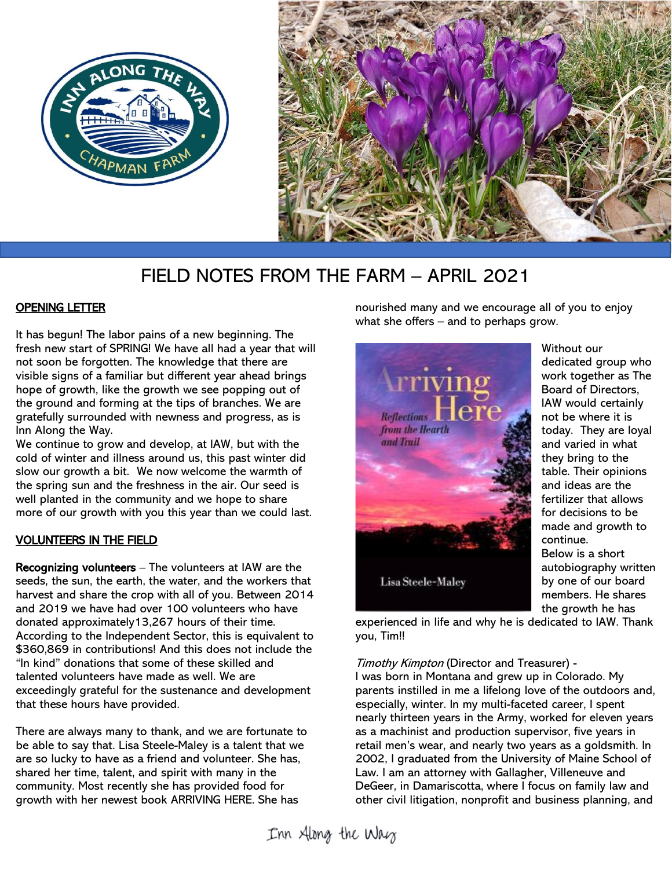



# FIELD NOTES FROM THE FARM – APRIL 2021

# OPENING LETTER

It has begun! The labor pains of a new beginning. The fresh new start of SPRING! We have all had a year that will not soon be forgotten. The knowledge that there are visible signs of a familiar but different year ahead brings hope of growth, like the growth we see popping out of the ground and forming at the tips of branches. We are gratefully surrounded with newness and progress, as is Inn Along the Way.

We continue to grow and develop, at IAW, but with the cold of winter and illness around us, this past winter did slow our growth a bit. We now welcome the warmth of the spring sun and the freshness in the air. Our seed is well planted in the community and we hope to share more of our growth with you this year than we could last.

## VOLUNTEERS IN THE FIELD

Recognizing volunteers – The volunteers at IAW are the seeds, the sun, the earth, the water, and the workers that harvest and share the crop with all of you. Between 2014 and 2019 we have had over 100 volunteers who have donated approximately13,267 hours of their time. According to the Independent Sector, this is equivalent to \$360,869 in contributions! And this does not include the "In kind" donations that some of these skilled and talented volunteers have made as well. We are exceedingly grateful for the sustenance and development that these hours have provided.

There are always many to thank, and we are fortunate to be able to say that. Lisa Steele-Maley is a talent that we are so lucky to have as a friend and volunteer. She has, shared her time, talent, and spirit with many in the community. Most recently she has provided food for growth with her newest book ARRIVING HERE. She has

nourished many and we encourage all of you to enjoy what she offers – and to perhaps grow.



Without our dedicated group who work together as The Board of Directors, IAW would certainly not be where it is today. They are loyal and varied in what they bring to the table. Their opinions and ideas are the fertilizer that allows for decisions to be made and growth to continue. Below is a short autobiography written by one of our board members. He shares the growth he has

experienced in life and why he is dedicated to IAW. Thank you, Tim!!

Timothy Kimpton (Director and Treasurer) -

I was born in Montana and grew up in Colorado. My parents instilled in me a lifelong love of the outdoors and, especially, winter. In my multi-faceted career, I spent nearly thirteen years in the Army, worked for eleven years as a machinist and production supervisor, five years in retail men's wear, and nearly two years as a goldsmith. In 2002, I graduated from the University of Maine School of Law. I am an attorney with Gallagher, Villeneuve and DeGeer, in Damariscotta, where I focus on family law and other civil litigation, nonprofit and business planning, and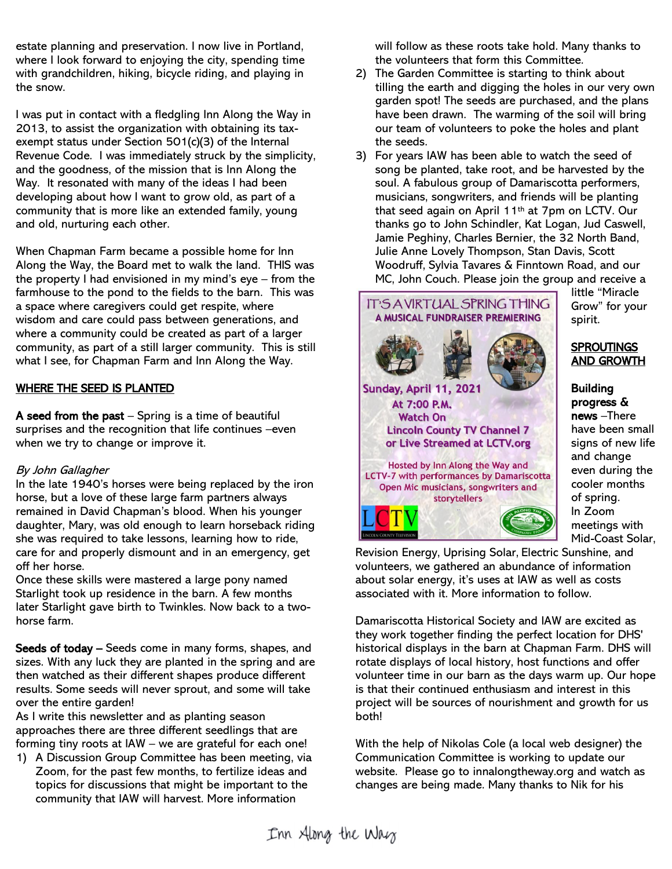estate planning and preservation. I now live in Portland, where I look forward to enjoying the city, spending time with grandchildren, hiking, bicycle riding, and playing in the snow.

I was put in contact with a fledgling Inn Along the Way in 2013, to assist the organization with obtaining its taxexempt status under Section 501(c)(3) of the Internal Revenue Code. I was immediately struck by the simplicity, and the goodness, of the mission that is Inn Along the Way. It resonated with many of the ideas I had been developing about how I want to grow old, as part of a community that is more like an extended family, young and old, nurturing each other.

When Chapman Farm became a possible home for Inn Along the Way, the Board met to walk the land. THIS was the property I had envisioned in my mind's eye – from the farmhouse to the pond to the fields to the barn. This was a space where caregivers could get respite, where wisdom and care could pass between generations, and where a community could be created as part of a larger community, as part of a still larger community. This is still what I see, for Chapman Farm and Inn Along the Way.

#### WHERE THE SEED IS PLANTED

A seed from the past  $-$  Spring is a time of beautiful surprises and the recognition that life continues –even when we try to change or improve it.

#### By John Gallagher

In the late 1940's horses were being replaced by the iron horse, but a love of these large farm partners always remained in David Chapman's blood. When his younger daughter, Mary, was old enough to learn horseback riding she was required to take lessons, learning how to ride, care for and properly dismount and in an emergency, get off her horse.

Once these skills were mastered a large pony named Starlight took up residence in the barn. A few months later Starlight gave birth to Twinkles. Now back to a twohorse farm.

Seeds of today – Seeds come in many forms, shapes, and sizes. With any luck they are planted in the spring and are then watched as their different shapes produce different results. Some seeds will never sprout, and some will take over the entire garden!

As I write this newsletter and as planting season approaches there are three different seedlings that are forming tiny roots at IAW – we are grateful for each one!

1) A Discussion Group Committee has been meeting, via Zoom, for the past few months, to fertilize ideas and topics for discussions that might be important to the community that IAW will harvest. More information

will follow as these roots take hold. Many thanks to the volunteers that form this Committee.

- 2) The Garden Committee is starting to think about tilling the earth and digging the holes in our very own garden spot! The seeds are purchased, and the plans have been drawn. The warming of the soil will bring our team of volunteers to poke the holes and plant the seeds.
- 3) For years IAW has been able to watch the seed of song be planted, take root, and be harvested by the soul. A fabulous group of Damariscotta performers, musicians, songwriters, and friends will be planting that seed again on April 11th at 7pm on LCTV. Our thanks go to John Schindler, Kat Logan, Jud Caswell, Jamie Peghiny, Charles Bernier, the 32 North Band, Julie Anne Lovely Thompson, Stan Davis, Scott Woodruff, Sylvia Tavares & Finntown Road, and our MC, John Couch. Please join the group and receive a



little "Miracle Grow" for your spirit.

#### **SPROUTINGS** AND GROWTH

Building progress & news –There have been small signs of new life and change even during the cooler months of spring. In Zoom meetings with Mid-Coast Solar,

Revision Energy, Uprising Solar, Electric Sunshine, and volunteers, we gathered an abundance of information about solar energy, it's uses at IAW as well as costs associated with it. More information to follow.

Damariscotta Historical Society and IAW are excited as they work together finding the perfect location for DHS' historical displays in the barn at Chapman Farm. DHS will rotate displays of local history, host functions and offer volunteer time in our barn as the days warm up. Our hope is that their continued enthusiasm and interest in this project will be sources of nourishment and growth for us both!

With the help of Nikolas Cole (a local web designer) the Communication Committee is working to update our website. Please go to innalongtheway.org and watch as changes are being made. Many thanks to Nik for his

Inn Along the Way